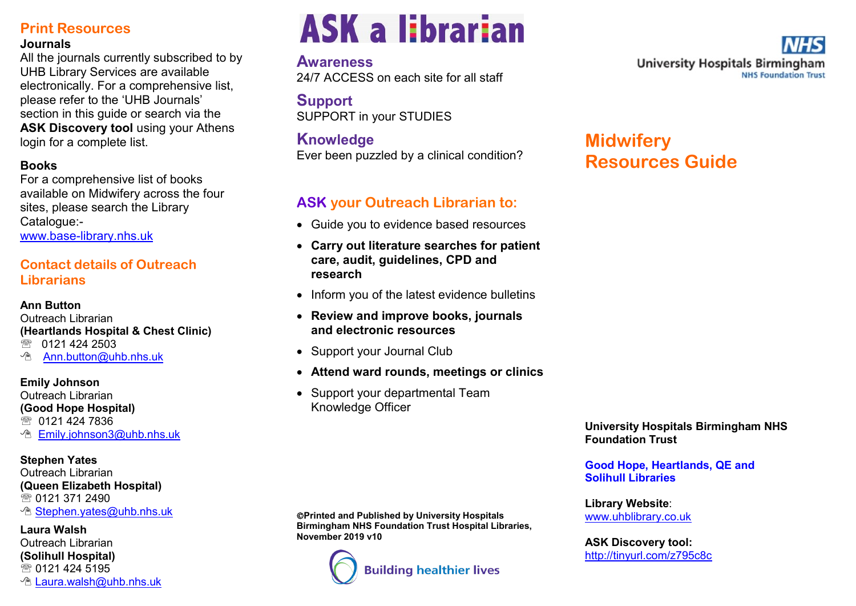# **Print Resources**

#### **Journals**

All the journals currently subscribed to by UHB Library Services are available electronically. For a comprehensive list, please refer to the 'UHB Journals' section in this guide or search via the **ASK Discovery tool using your Athens** login for a complete list.

#### **Books**

For a comprehensive list of books available on Midwifery across the four sites, please search the Library Catalogue:-

www.base-[library.nhs.uk](http://www.base-library.nhs.uk)

## **Contact details of Outreach Librarians**

#### **Ann Button**

Outreach Librarian **(Heartlands Hospital & Chest Clinic)** <sup>3</sup> 0121 424 2503 **[Ann.button@uhb.nhs.uk](mailto:ann.button@heartofengland.nhs.uk)** 

#### **Emily Johnson**

Outreach Librarian **(Good Hope Hospital)** 5 0121 424 7836 **<u>A</u>** [Emily.johnson3@uhb.nhs.uk](mailto:Emily.johnson@heartofengland.nhs.ukailto:)

## **Stephen Yates**

Outreach Librarian **(Queen Elizabeth Hospital)** ■ 0121 371 2490 *<u><b>M* [Stephen.yates@uhb.nhs.uk](mailto:Stephen.yates@uhb.nhs.uk)</u>

#### **Laura Walsh** Outreach Librarian **(Solihull Hospital)** ☎ 0121 424 5195 **<sup></sub>** [Laura.walsh@uhb.nhs.uk](mailto:laura.walsh@heartofengland.nhs.uk)</sup>

# **ASK a librarian**

# **Awareness**

24/7 ACCESS on each site for all staff

**Support** SUPPORT in your STUDIES

# **Knowledge**

Ever been puzzled by a clinical condition?

# **ASK your Outreach Librarian to:**

- Guide you to evidence based resources
- **Carry out literature searches for patient care, audit, guidelines, CPD and research**
- Inform you of the latest evidence bulletins
- **Review and improve books, journals and electronic resources**
- Support your Journal Club
- **Attend ward rounds, meetings or clinics**
- Support your departmental Team Knowledge Officer

**Printed and Published by University Hospitals Birmingham NHS Foundation Trust Hospital Libraries, November 2019 v10**



**University Hospitals Birmingham NHS Foundation Trust** 

# **Midwifery Resources Guide**

**University Hospitals Birmingham NHS Foundation Trust**

**Good Hope, Heartlands, QE and Solihull Libraries**

**Library Website**: [www.uhblibrary.co.uk](http://www.heftlibrary.nhs.uk)

**ASK Discovery tool:**  <http://tinyurl.com/z795c8c>